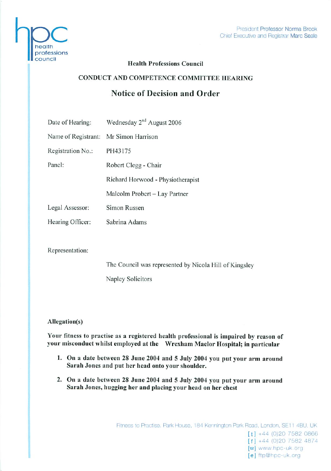

# Health Professions Council

# CONDUCT AND COMPETENCE COMMITTEE HEARING

# Notice of Decision and Order

| Date of Hearing:                      | Wednesday 2 <sup>nd</sup> August 2006 |
|---------------------------------------|---------------------------------------|
| Name of Registrant: Mr Simon Harrison |                                       |
| Registration No.:                     | PH43175                               |
| Panel:                                | Robert Clegg - Chair                  |
|                                       | Richard Horwood - Physiotherapist     |
|                                       | Malcolm Probert - Lay Partner         |
| Legal Assessor:                       | Simon Russen                          |
| Hearing Officer:                      | Sabrina Adams                         |
|                                       |                                       |

Representation:

The Council was represented by Nicola Hill of Kingsley

Naplcy Solicitors

## Allegation(s)

Your fitness to practise as a registered health professional is impaired by reason of your misconduct whilst employed at the Wrexham Maclor Hospital; in particular

- 1. On a date between 28 June 2004 and 5 July 2004 you put your arm around Sarah Jones and put her head onto your shoulder.
- 2. On a date between 28 June 2004 and 5 July 2004 you put your arm around Sarah Jones, hugging her and placing your head on her chest

[e] ftp@hpc-uk.org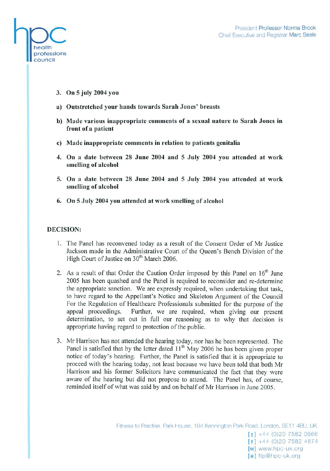

- 3. On 5 July 2004 you
- a) Outstretched your hands towards Sarah Jones' breasts
- b) Made various inappropriate comments of a sexual nature to Sarah Jones in front of a patient
- c) Made inappropriate comments in relation to patients gcnitalia
- 4. On a date between 28 June 2004 and 5 July 2004 you attended at work smelling of alcohol
- 5. On a date between 28 June 2004 and 5 July 2004 you attended at work smelling of alcohol
- 6. On 5 July 2004 you attended at work smelling of alcohol

## DECISION:

- 1. The Panel has reconvened today as a result of the Consent Order of Mr Justice Jackson made in the Administrative Court of the Queen's Bench Division of the High Court of Justice on 30<sup>th</sup> March 2006.
- 2. As a result of that Order the Caution Order imposed by this Panel on  $16<sup>th</sup>$  June 2005 has been quashed and the Panel is required to reconsider and re-determine the appropriate sanction. We are expressly required, when undertaking that task, to have regard to the Appellant's Notice and Skeleton Argument of the Council For the Regulation of Healthcare Professionals submitted for the purpose of the appeal proceedings. Further, we are required, when giving our present determination, to set out in full our reasoning as to why that decision is appropriate having regard to protection of the public.
- 3. Mr Harrison has not attended the hearing today, nor has he been represented. The Panel is satisfied that by the letter dated 11<sup>th</sup> May 2006 he has been given proper notice of today's hearing. Further, the Panel is satisfied that it is appropriate to proceed with the hearing today, not least because we have been told that both Mr Harrison and his former Solicitors have communicated the fact that they were aware of the hearing but did not propose to attend. The Panel has, of course, reminded itself of what was said by and on behalf of Mr Harrison in June 2005.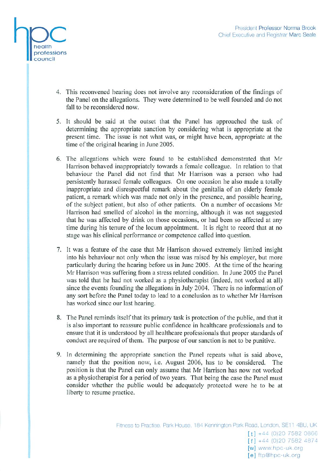

- 4. This reconvened hearing does not involve any reconsideration of the findings of the Panel on the allegations. They were determined to be well founded and do not fall to be reconsidered now.
- 5. It should be said at the outset that the Panel has approached the task of determining the appropriate sanction by considering what is appropriate at the present time. The issue is not what was, or might have been, appropriate at the time of the original hearing in June 2005.
- 6. The allegations which were found to be established demonstrated that Mr Harrison behaved inappropriately towards a female colleague. In relation to that behaviour the Panel did not find that Mr Harrison was a person who had persistently harassed female colleagues. On one occasion he also made a totally inappropriate and disrespectful remark about the genitalia of an elderly female patient, a remark which was made not only in the presence, and possible hearing, of the subject patient, but also of other patients. On a number of occasions Mr Harrison had smcllcd of alcohol in the morning, although it was not suggested that he was affected by drink on those occasions, or had been so affected at any time during his tenure of the locum appointment. It is right to record that at no stage was his clinical performance or competence called into question.
- 7. It was a feature of the case that Mr Harrison showed extremely limited insight into his behaviour not only when the issue was raised by his employer, but more particularly during the hearing before us in June 2005. At the time of the hearing Mr Harrison was suffering from a stress related condition. In June 2005 the Panel was told that he had not worked as a physiotherapist (indeed, not worked at all) since the events founding the allegations in July 2004. There is no information of any sort before the Panel today to lead to a conclusion as to whether Mr Harrison has worked since our last hearing.
- 8. The Panel reminds itself that its primary task is protection of the public, and that it is also important to reassure public confidence in healthcare professionals and to ensure that it is understood by all healthcare professionals that proper standards of conduct are required of them. The purpose of our sanction is not to be punitive.
- 9. In determining the appropriate sanction the Panel repeats what is said above, namely that the position now, i.e. August 2006, has to be considered. The position is that the Panel can only assume that Mr Harrison has now not worked as a physiotherapist for a period of two years. That being the case the Panel must consider whether the public would be adequately protected were he to be at liberty to resume practice.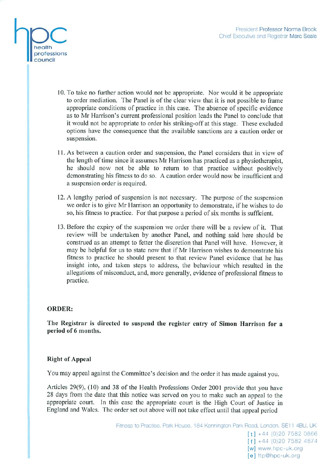

- 10. To take no further action would not be appropriate. Nor would it be appropriate to order mediation. The Panel is of the clear view that it is not possible to frame appropriate conditions of practice in this case. The absence of specific evidence as to Mr Harrison's current professional position leads the Panel to conclude that it would not be appropriate to order his striking-off at this stage. These excluded options have the consequence that the available sanctions are a caution order or suspension.
- 11. As between a caution order and suspension, the Panel considers that in view of the length of time since it assumes Mr Harrison has practiced as a physiotherapist, he should now not be able to return to that practice without positively demonstrating his fitness to do so. A caution order would now be insufficient and a suspension order is required.
- 12. A lengthy period of suspension is not necessary. The purpose of the suspension we order is to give Mr Harrison an opportunity to demonstrate, if he wishes to do so, his fitness to practice. For that purpose a period of six months is sufficient.
- 13. Before the expiry of the suspension we order there will be a review of it. That review will be undertaken by another Panel, and nothing said here should be construed as an attempt to fetter the discretion that Panel will have. However, it may be helpful for us to state now that if Mr Harrison wishes to demonstrate his fitness to practice he should present to that review Panel evidence that he has insight into, and taken steps to address, the behaviour which resulted in the allegations of misconduct, and, more generally, evidence of professional fitness to practice.

### ORDER:

The Registrar is directed to suspend the register entry of Simon Harrison for a period of 6 months.

### Right of Appeal

You may appeal against the Committee's decision and the order it has made against you.

Articles 29(9), (10) and 38 of the Health Professions Order 2001 provide that you have 28 days from the date that this notice was served on you to make such an appeal to the appropriate court. In this case the appropriate court is the High Court of Justice in England and Wales. The order set out above will not take effect until that appeal period